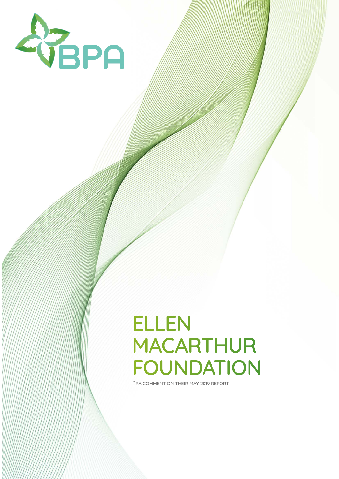

### ELLEN MACARTHUR FOUNDATION

BPA COMMENT ON THEIR MAY 2019 REPORT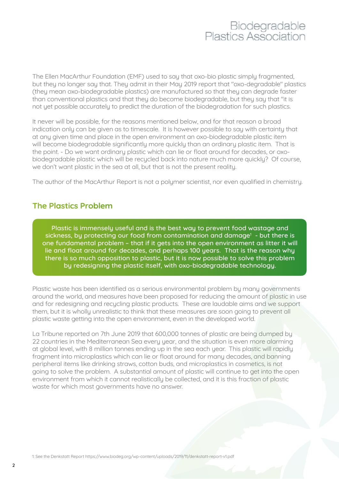The Ellen MacArthur Foundation (EMF) used to say that oxo-bio plastic simply fragmented, but they no longer say that. They admit in their May 2019 report that "oxo-degradable" plastics (they mean oxo-biodegradable plastics) are manufactured so that they can degrade faster than conventional plastics and that they do become biodegradable, but they say that "it is not yet possible accurately to predict the duration of the biodegradation for such plastics.

It never will be possible, for the reasons mentioned below, and for that reason a broad indication only can be given as to timescale. It is however possible to say with certainty that at any given time and place in the open environment an oxo-biodegradable plastic item will become biodegradable significantly more quickly than an ordinary plastic item. That is the point. - Do we want ordinary plastic which can lie or float around for decades, or oxobiodegradable plastic which will be recycled back into nature much more quickly? Of course, we don't want plastic in the sea at all, but that is not the present reality.

The author of the MacArthur Report is not a polymer scientist, nor even qualified in chemistry.

### **The Plastics Problem**

Plastic is immensely useful and is the best way to prevent food wastage and sickness, by protecting our food from contamination and damage<sup>1</sup> - but there is one fundamental problem – that if it gets into the open environment as litter it will lie and float around for decades, and perhaps 100 years. That is the reason why there is so much opposition to plastic, but it is now possible to solve this problem by redesigning the plastic itself, with oxo-biodegradable technology.

Plastic waste has been identified as a serious environmental problem by many governments around the world, and measures have been proposed for reducing the amount of plastic in use and for redesigning and recycling plastic products. These are laudable aims and we support them, but it is wholly unrealistic to think that these measures are soon going to prevent all plastic waste getting into the open environment, even in the developed world.

La Tribune reported on 7th June 2019 that 600,000 tonnes of plastic are being dumped by 22 countries in the Mediterranean Sea every year, and the situation is even more alarming at global level, with 8 million tonnes ending up in the sea each year. This plastic will rapidly fragment into microplastics which can lie or float around for many decades, and banning peripheral items like drinking straws, cotton buds, and microplastics in cosmetics, is not going to solve the problem. A substantial amount of plastic will continue to get into the open environment from which it cannot realistically be collected, and it is this fraction of plastic waste for which most governments have no answer.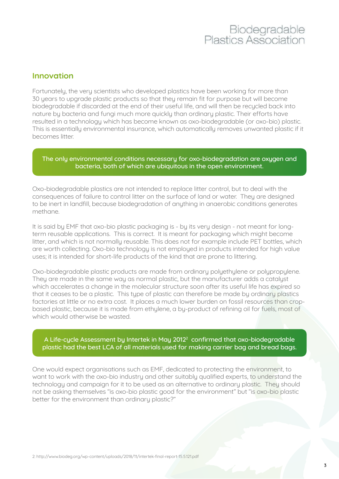#### **Innovation**

Fortunately, the very scientists who developed plastics have been working for more than 30 years to upgrade plastic products so that they remain fit for purpose but will become biodegradable if discarded at the end of their useful life, and will then be recycled back into nature by bacteria and fungi much more quickly than ordinary plastic. Their efforts have resulted in a technology which has become known as oxo-biodegradable (or oxo-bio) plastic. This is essentially environmental insurance, which automatically removes unwanted plastic if it becomes litter.

#### The only environmental conditions necessary for oxo-biodegradation are oxygen and bacteria, both of which are ubiquitous in the open environment.

Oxo-biodegradable plastics are not intended to replace litter control, but to deal with the consequences of failure to control litter on the surface of land or water. They are designed to be inert in landfill, because biodegradation of anuthing in angerobic conditions generates methane.

It is said by EMF that oxo-bio plastic packaging is - by its very design - not meant for longterm reusable applications. This is correct. It is meant for packaging which might become litter, and which is not normally reusable. This does not for example include PET bottles, which are worth collecting. Oxo-bio technology is not employed in products intended for high value uses; it is intended for short-life products of the kind that are prone to littering.

Oxo-biodegradable plastic products are made from ordinary polyethylene or polypropylene. They are made in the same way as normal plastic, but the manufacturer adds a catalyst which accelerates a change in the molecular structure soon after its useful life has expired so that it ceases to be a plastic. This type of plastic can therefore be made by ordinary plastics factories at little or no extra cost. It places a much lower burden on fossil resources than cropbased plastic, because it is made from ethylene, a by-product of refining oil for fuels, most of which would otherwise be wasted.

#### A Life-cycle Assessment by Intertek in May 2012<sup>2</sup> confirmed that oxo-biodegradable plastic had the best LCA of all materials used for making carrier bag and bread bags.

One would expect organisations such as EMF, dedicated to protecting the environment, to want to work with the oxo-bio industru and other suitably qualified experts, to understand the technology and campaign for it to be used as an alternative to ordinary plastic. They should not be asking themselves "is oxo-bio plastic good for the environment" but "is oxo-bio plastic better for the environment than ordinary plastic?"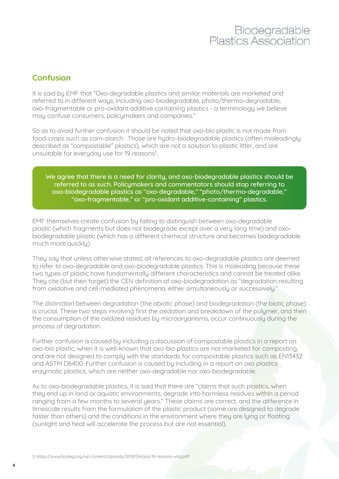### **Confusion**

It is said by EMF that "Oxo-degradable plastics and similar materials are marketed and referred to in different ways, including oxo-biodegradable, photo/thermo-degradable, oxo-fragmentable or pro-oxidant additive containing plastics - a terminology we believe may confuse consumers, policymakers and companies."

So as to avoid further confusion it should be noted that oxo-bio plastic is not made from food-crops such as corn-starch. Those are hydro-biodegradable plastics (often misleadingly described as "compostable" plastics), which are not a solution to plastic litter, and are unsuitable for everyday use for 19 reasons<sup>3</sup>. .

#### We agree that there is a need for clarity, and oxo-biodegradable plastics should be referred to as such. Policymakers and commentators should stop referring to oxo-biodegradable plastics as "oxo-degradable," "photo/thermo-degradable," "oxo-fragmentable," or "pro-oxidant additive-containing" plastics.

EMF themselves create confusion by failing to distinguish between oxo-degradable plastic (which fragments but does not biodegrade except over a very long time) and oxobiodegradable plastic (which has a different chemical structure and becomes biodegradable much more quickly).

They say that unless otherwise stated, all references to oxo-degradable plastics are deemed to refer to oxo-degradable and oxo-biodegradable plastics. This is misleading because these two types of plastic have fundamentally different characteristics and cannot be treated alike. They cite (but then forget) the CEN definition of oxo-biodegradation as "degradation resulting from oxidative and cell-mediated phenomena, either simultaneously or successively."

The distinction between degradation (the abiotic phase) and biodegradation (the biotic phase) is crucial. These two steps involving first the oxidation and breakdown of the polymer, and then the consumption of the oxidized residues by microorganisms, occur continuously during the process of degradation.

Further confusion is caused by including a discussion of compostable plastics in a report on oxo-bio plastic, when it is well-known that oxo-bio plastics are not marketed for composting, and are not designed to comply with the standards for compostable plastics such as EN13432 and ASTM D6400. Further confusion is caused by including in a report on oxo plastics enzymatic plastics, which are neither oxo-degradable nor oxo-biodegradable.

As to oxo-biodegradable plastics, it is said that there are "claims that such plastics, when they end up in land or aquatic environments, degrade into harmless residues within a period ranging from a few months to several years." These claims are correct, and the difference in timescale results from the formulation of the plastic product (some are designed to degrade faster than others) and the conditions in the environment where they are lying or floating (sunlight and heat will accelerate the process but are not essential).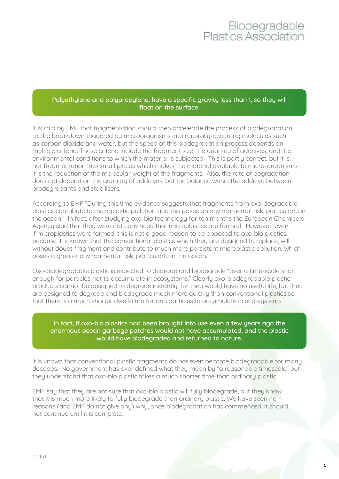#### Polyethylene and polypropylene, have a specific gravity less than 1, so they will float on the surface.

It is said by EMF that fragmentation should then accelerate the process of biodegradation i.e. the breakdown triggered by microorganisms into naturally-occurring molecules such as carbon dioxide and water, but the speed of this biodegradation process depends on multiple criteria. These criteria include the fragment size, the quantity of additives, and the environmental conditions to which the material is subjected. This is partly correct, but it is not fragmentation into small pieces which makes the material available to micro-organisms, it is the reduction of the molecular weight of the fragments. Also, the rate of degradation does not depend on the quantity of additives, but the balance within the additive between prodegradants and stabilisers.

According to EMF "During this time evidence suggests that fragments from oxo-degradable plastics contribute to microplastic pollution and this poses an environmental risk, particularly in the ocean." In fact, after studying oxo-bio technology for ten months the European Chemicals Agency said that they were not convinced that microplastics are formed. However, even if microplastics were formed, this is not a good reason to be opposed to oxo-bio plastics, because it is known that the conventional plastics which they are designed to replace, will without doubt fragment and contribute to much more persistent microplastic pollution, which poses a greater environmental risk, particularly in the ocean.

Oxo-biodegradable plastic is expected to degrade and biodegrade "over a time-scale short enough for particles not to accumulate in ecosustems." Clearly oxo-biodegradable plastic products cannot be designed to degrade instantly, for they would have no useful life, but they are designed to degrade and biodegrade much more quickly than conventional plastics so that there is a much shorter dwell-time for any particles to accumulate in eco-systems.

#### In fact, if oxo-bio plastics had been brought into use even a few years ago the enormous ocean garbage patches would not have accumulated, and the plastic would have biodegraded and returned to nature.

It is known that conventional plastic fragments do not even become biodegradable for many decades. No government has ever defined what they mean by "a reasonable timescale" but they understand that oxo-bio plastic takes a much shorter time than ordinary plastic.

EMF say that they are not sure that oxo-bio plastic will fully biodegrade, but they know that it is much more likely to fully biodegrade than ordinary plastic. We have seen no reasons (and EMF do not give any) why, once biodegradation has commenced, it should not continue until it is complete.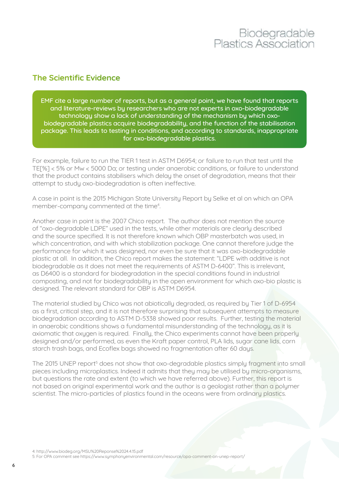#### **The Scientific Evidence**

EMF cite a large number of reports, but as a general point, we have found that reports and literature-reviews by researchers who are not experts in oxo-biodegradable technology show a lack of understanding of the mechanism by which oxobiodegradable plastics acquire biodegradability, and the function of the stabilisation package. This leads to testing in conditions, and according to standards, inappropriate for oxo-biodegradable plastics.

For example, failure to run the TIER 1 test in ASTM D6954; or failure to run that test until the TE[%] < 5% or Mw < 5000 Da; or testing under anaerobic conditions, or failure to understand that the product contains stabilisers which delay the onset of degradation, means that their attempt to study oxo-biodegradation is often ineffective.

A case in point is the 2015 Michigan State University Report by Selke et al on which an OPA member-company commented at the time<sup>4</sup>.

Another case in point is the 2007 Chico report. The author does not mention the source of "oxo-degradable LDPE" used in the tests, while other materials are clearly described and the source specified. It is not therefore known which OBP masterbatch was used, in which concentration, and with which stabilization package. One cannot therefore judge the performance for which it was designed, nor even be sure that it was oxo-biodegradable plastic at all. In addition, the Chico report makes the statement: "LDPE with additive is not biodegradable as it does not meet the requirements of ASTM D-6400". This is irrelevant, as D6400 is a standard for biodegradation in the special conditions found in industrial composting, and not for biodegradability in the open environment for which oxo-bio plastic is designed. The relevant standard for OBP is ASTM D6954.

The material studied by Chico was not abiotically degraded, as required by Tier 1 of D-6954 as a first, critical step, and it is not therefore surprising that subsequent attempts to measure biodegradation according to ASTM D-5338 showed poor results. Further, testing the material in anaerobic conditions shows a fundamental misunderstanding of the technology, as it is axiomatic that oxygen is required. Finally, the Chico experiments cannot have been properly designed and/or performed, as even the Kraft paper control, PLA lids, sugar cane lids, corn starch trash bags, and Ecoflex bags showed no fragmentation after 60 days.

The 2015 UNEP report<sup>5</sup> does not show that oxo-degradable plastics simply fragment into small pieces including microplastics. Indeed it admits that they may be utilised by micro-organisms, but questions the rate and extent (to which we have referred above). Further, this report is not based on original experimental work and the author is a geologist rather than a polymer scientist. The micro-particles of plastics found in the oceans were from ordinary plastics.

4: http://www.biodeg.org/MSU%20Reponse%2024.4.15.pdf

5: For OPA comment see https://www.symphonyenvironmental.com/resource/opa-comment-on-unep-report/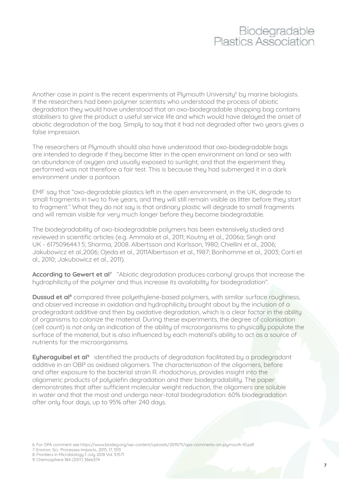Another case in point is the recent experiments at Plymouth University<sup>6</sup> by marine biologists. If the researchers had been polymer scientists who understood the process of abiotic degradation they would have understood that an oxo-biodegradable shopping bag contains stabilisers to give the product a useful service life and which would have delayed the onset of abiotic degradation of the bag. Simply to say that it had not degraded after two years gives a false impression.

The researchers at Plymouth should also have understood that oxo-biodegradable bags are intended to degrade if they become litter in the open environment on land or sea with an abundance of oxygen and usually exposed to sunlight, and that the experiment they performed was not therefore a fair test. This is because they had submerged it in a dark environment under a pontoon.

EMF say that "oxo-degradable plastics left in the open environment, in the UK, degrade to small fragments in two to five years, and they will still remain visible as litter before they start to fragment." What they do not say is that ordinary plastic will degrade to small fragments and will remain visible for very much longer before they become biodegradable.

The biodegradability of oxo-biodegradable polymers has been extensively studied and reviewed in scientific articles (e.g. Ammala et al., 2011; Koutny et al., 2006a; Singh and UK - 617509644.1 5; Sharma, 2008. Albertsson and Karlsson, 1980; Chiellini et al., 2006; Jakubowicz et al.,2006; Ojeda et al., 2011Albertsson et al., 1987; Bonhomme et al., 2003; Corti et al., 2010; Jakubowicz et al., 2011).

According to Gewert et al<sup>7</sup> "Abiotic degradation produces carbonyl groups that increase the hydrophilicity of the polymer and thus increase its availability for biodegradation".

**Dussud et al<sup>8</sup>** compared three polyethylene-based polymers, with similar surface roughness, and observed increase in oxidation and hudrophilicity brought about by the inclusion of a prodegradant additive and then by oxidative degradation, which is a clear factor in the ability of organisms to colonize the material. During these experiments, the degree of colonisation (cell count) is not only an indication of the ability of microorganisms to physically populate the surface of the material, but is also influenced by each material's ability to act as a source of nutrients for the microorganisms.

Eyheraguibel et al<sup>9</sup> identified the products of degradation facilitated by a prodegradant additive in an OBP as oxidised oligomers. The characterisation of the oligomers, before and after exposure to the bacterial strain R. rhodochorus, provides insight into the oligomeric products of polyolefin degradation and their biodegradability. The paper demonstrates that after sufficient molecular weight reduction, the oligomers are soluble in water and that the most and undergo near-total biodegradation: 60% biodegradation after only four days, up to 95% after 240 days.

6: For OPA comment see https://www.biodeg.org/wp-content/uploads/2019/11/opa-comments-on-plymouth-10.pdf

7: Environ. Sci.: Processes Impacts, 2015, 17, 1513

8: Frontiers in Microbiology 1 July 2018 Vol. 9,1571

9: Chemosphere 184 (2017) 366e374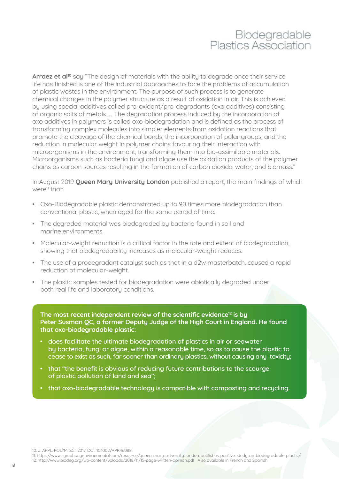Arraez et al<sup>10</sup> say "The design of materials with the ability to degrade once their service life has finished is one of the industrial approaches to face the problems of accumulation of plastic wastes in the environment. The purpose of such process is to generate chemical changes in the polymer structure as a result of oxidation in air. This is achieved by using special additives called pro-oxidant/pro-degradants (oxo additives) consisting of organic salts of metals …. The degradation process induced by the incorporation of oxo additives in polymers is called oxo-biodegradation and is defined as the process of transforming complex molecules into simpler elements from oxidation reactions that promote the cleavage of the chemical bonds, the incorporation of polar groups, and the reduction in molecular weight in polymer chains favouring their interaction with microorganisms in the environment, transforming them into bio-assimilable materials. Microorganisms such as bacteria fungi and algae use the oxidation products of the polymer chains as carbon sources resulting in the formation of carbon dioxide, water, and biomass."

In August 2019 **Queen Mary University London** published a report, the main findings of which were<sup>11</sup> that:

- Oxo-Biodegradable plastic demonstrated up to 90 times more biodegradation than conventional plastic, when aged for the same period of time.
- The degraded material was biodegraded by bacteria found in soil and marine environments.
- Molecular-weight reduction is a critical factor in the rate and extent of biodegradation, showing that biodegradability increases as molecular-weight reduces.
- The use of a prodegradant catalyst such as that in a d2w masterbatch, caused a rapid reduction of molecular-weight.
- The plastic samples tested for biodegradation were abiotically degraded under both real life and laboratory conditions.

**The most recent independent review of the scientific evidence12 is by Peter Susman QC, a former Deputy Judge of the High Court in England. He found that oxo-biodegradable plastic:** 

- does facilitate the ultimate biodegradation of plastics in air or seawater by bacteria, fungi or algae, within a reasonable time, so as to cause the plastic to cease to exist as such, far sooner than ordinary plastics, without causing any toxicity;
- that "the benefit is obvious of reducing future contributions to the scourge of plastic pollution of land and sea";
- EMF often cite European Bioplastics, SPI Bioplastics Council, European Plastics Converters, • that oxo-biodegradable technology is compatible with composting and recycling.

10: J. APPL. POLYM. SCI. 2017, DOI: 10.1002/APP.46088

11: https://www.symphonyenvironmental.com/resource/queen-mary-university-london-publishes-positive-study-on-biodegradable-plastic/ 12: http://www.biodeg.org/wp-content/uploads/2018/11/15-page-written-opinion.pdf Also available in French and Spanish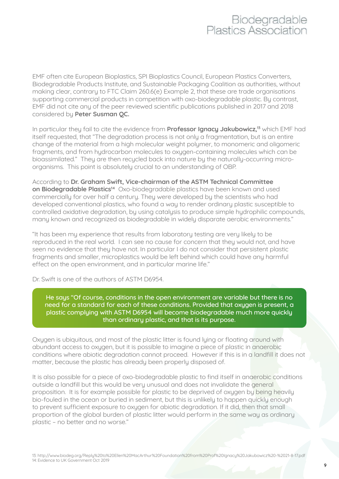EMF often cite European Bioplastics, SPI Bioplastics Council, European Plastics Converters, Biodegradable Products Institute, and Sustainable Packaging Coalition as authorities, without making clear, contrary to FTC Claim 260.6(e) Example 2, that these are trade organisations supporting commercial products in competition with oxo-biodegradable plastic. By contrast, EMF did not cite any of the peer reviewed scientific publications published in 2017 and 2018 considered by **Peter Susman QC.** 

In particular they fail to cite the evidence from **Professor Ignacy Jakubowicz,13** which EMF had itself requested, that "The degradation process is not only a fragmentation, but is an entire change of the material from a high molecular weight polymer, to monomeric and oligomeric fragments, and from hydrocarbon molecules to oxygen-containing molecules which can be bioassimilated." They are then recycled back into nature by the naturally-occurring microorganisms. This point is absolutely crucial to an understanding of OBP.

According to **Dr. Graham Swift, Vice-chairman of the ASTM Technical Committee on Biodegradable Plastics14** Oxo-biodegradable plastics have been known and used commercially for over half a century. They were developed by the scientists who had developed conventional plastics, who found a way to render ordinary plastic susceptible to controlled oxidative degradation, by using catalysis to produce simple hydrophilic compounds, many known and recognized as biodegradable in widely disparate aerobic environments."

"It has been my experience that results from laboratory testing are very likely to be reproduced in the real world. I can see no cause for concern that they would not, and have seen no evidence that they have not. In particular I do not consider that persistent plastic fragments and smaller, microplastics would be left behind which could have any harmful effect on the open environment, and in particular marine life."

Dr. Swift is one of the authors of ASTM D6954.

He saus "Of course, conditions in the open environment are variable but there is no need for a standard for each of these conditions. Provided that oxygen is present, a plastic complying with ASTM D6954 will become biodegradable much more quickly than ordinary plastic, and that is its purpose.

Oxygen is ubiquitous, and most of the plastic litter is found lying or floating around with abundant access to oxygen, but it is possible to imagine a piece of plastic in anaerobic conditions where abiotic degradation cannot proceed. However if this is in a landfill it does not matter, because the plastic has already been properly disposed of.

It is also possible for a piece of oxo-biodegradable plastic to find itself in anaerobic conditions outside a landfill but this would be very unusual and does not invalidate the general proposition. It is for example possible for plastic to be deprived of oxygen by being heavily bio-fouled in the ocean or buried in sediment, but this is unlikely to happen quickly enough to prevent sufficient exposure to oxygen for abiotic degradation. If it did, then that small proportion of the global burden of plastic litter would perform in the same way as ordinary plastic – no better and no worse."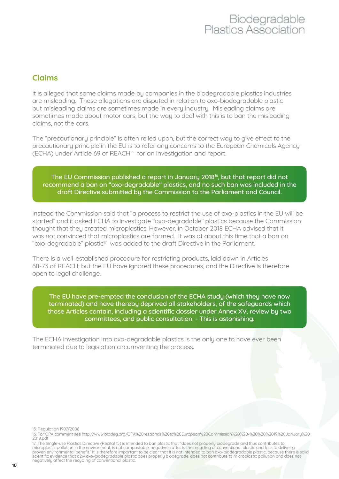### **Claims**

It is alleged that some claims made by companies in the biodegradable plastics industries are misleading. These allegations are disputed in relation to oxo-biodegradable plastic but misleading claims are sometimes made in every industry. Misleading claims are sometimes made about motor cars, but the way to deal with this is to ban the misleading claims, not the cars.

The "precautionary principle" is often relied upon, but the correct way to give effect to the precautionary principle in the EU is to refer any concerns to the European Chemicals Agency (ECHA) under Article 69 of REACH15 for an investigation and report.

#### The EU Commission published a report in January 2018<sup>16</sup>, but that report did not recommend a ban on "oxo-degradable" plastics, and no such ban was included in the draft Directive submitted by the Commission to the Parliament and Council.

Instead the Commission said that "a process to restrict the use of oxo-plastics in the EU will be started" and it asked ECHA to investigate "oxo-degradable" plastics because the Commission thought that they created microplastics. However, in October 2018 ECHA advised that it was not convinced that microplastics are formed. It was at about this time that a ban on "oxo-degradable" plastic<sup>17</sup> was added to the draft Directive in the Parliament.

There is a well-established procedure for restricting products, laid down in Articles 68-73 of REACH, but the EU have ignored these procedures, and the Directive is therefore open to legal challenge.

The EU have pre-empted the conclusion of the ECHA study (which they have now terminated) and have thereby deprived all stakeholders, of the safeguards which those Articles contain, including a scientific dossier under Annex XV, review by two consultation. - This is astonishing. committees, and public consultation. - This is astonishing.

The ECHA investigation into oxo-degradable plastics is the only one to have ever been terminated due to legislation circumventing the process.

15: Regulation 1907/2006

17: The Single-use Plastics Directive (Recital 15) is intended to ban plastic that "does not properly biodegrade and thus contributes to<br>microplastic pollution in the environment, is not compostable, negatively affects the scientific evidence that d2w oxo-biodegradable plastic does properly biodegrade, does not contribute to microplastic pollution and does not negatively affect the recycling of conventional plastic.

<sup>16:</sup> For OPA comment see http://www.biodeg.org/OPA%20responds%20to%20European%20Commission%20%20-%20%20%2019%20January%20 2018.pdf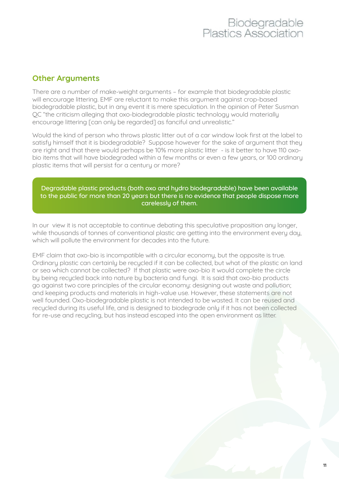### **Other Arguments**

There are a number of make-weight arguments – for example that biodegradable plastic will encourage littering. EMF are reluctant to make this argument against crop-based biodegradable plastic, but in any event it is mere speculation. In the opinion of Peter Susman QC "the criticism alleging that oxo-biodegradable plastic technology would materially encourage littering [can only be regarded] as fanciful and unrealistic."

Would the kind of person who throws plastic litter out of a car window look first at the label to satisfy himself that it is biodegradable? Suppose however for the sake of argument that they are right and that there would perhaps be 10% more plastic litter - is it better to have 110 oxobio items that will have biodegraded within a few months or even a few years, or 100 ordinary plastic items that will persist for a century or more?

Degradable plastic products (both oxo and hydro biodegradable) have been available to the public for more than 20 years but there is no evidence that people dispose more carelessly of them.

In our view it is not acceptable to continue debating this speculative proposition any longer, while thousands of tonnes of conventional plastic are getting into the environment every day, which will pollute the environment for decades into the future.

EMF claim that oxo-bio is incompatible with a circular economy, but the opposite is true. Ordinary plastic can certainly be recycled if it can be collected, but what of the plastic on land or sea which cannot be collected? If that plastic were oxo-bio it would complete the circle by being recycled back into nature by bacteria and fungi. It is said that oxo-bio products go against two core principles of the circular economy: designing out waste and pollution; and keeping products and materials in high-value use. However, these statements are not well founded. Oxo-biodegradable plastic is not intended to be wasted. It can be reused and recycled during its useful life, and is designed to biodegrade only if it has not been collected for re-use and recycling, but has instead escaped into the open environment as litter.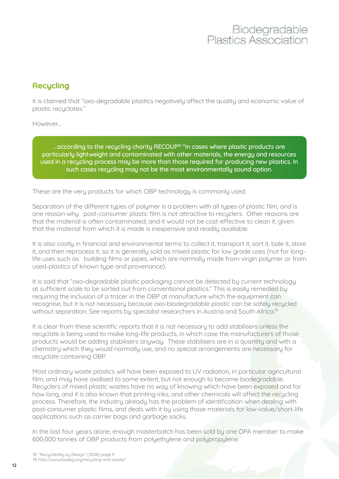### **Recycling**

It is claimed that "oxo-degradable plastics negatively affect the quality and economic value of plastic recyclates."

However...

...according to the recycling charity RECOUP<sup>18</sup> "In cases where plastic products are particularly lightweight and contaminated with other materials, the energy and resources used in a recycling process may be more than those required for producing new plastics. In such cases recycling may not be the most environmentally sound option.

These are the very products for which OBP technology is commonly used.

Separation of the different types of polymer is a problem with all types of plastic film, and is one reason why post-consumer plastic film is not attractive to recyclers. Other reasons are that the material is often contaminated, and it would not be cost-effective to clean it, given that the material from which it is made is inexpensive and readily available.

It is also costly in financial and environmental terms to collect it, transport it, sort it, bale it, store it, and then reprocess it, so it is generally sold as mixed plastic for low grade uses (not for longlife uses such as building films or pipes, which are normally made from virgin polymer or from used-plastics of known type and provenance).

It is said that "oxo-degradable plastic packaging cannot be detected by current technology at sufficient scale to be sorted out from conventional plastics." This is easily remedied by requiring the inclusion of a tracer in the OBP at manufacture which the equipment can recognise, but it is not necessary because oxo-biodegradable plastic can be safely recycled without separation. See reports by specialist researchers in Austria and South Africa.<sup>19</sup>

It is clear from these scientific reports that it is not necessary to add stabilisers unless the recuclate is being used to make long-life products, in which case the manufacturers of those products would be adding stabilisers anyway. These stabilisers are in a quantity and with a chemistry which they would normally use, and no special arrangements are necessary for recyclate containing OBP.

Most ordinary waste plastics will have been exposed to UV radiation, in particular agricultural film, and may have oxidised to some extent, but not enough to become biodegradable. Recyclers of mixed plastic wastes have no way of knowing which have been exposed and for how long, and it is also known that printing inks, and other chemicals will affect the recycling process. Therefore, the industry already has the problem of identification when dealing with post-consumer plastic films, and deals with it by using those materials for low-value/short-life applications such as carrier bags and garbage sacks.

In the last four years alone, enough masterbatch has been sold by one OPA member to make 600,000 tonnes of OBP products from polyethylene and polypropylene.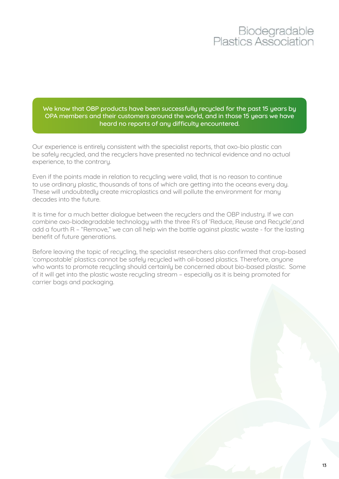We know that OBP products have been successfully recycled for the past 15 years by OPA members and their customers around the world, and in those 15 years we have heard no reports of any difficulty encountered.

Our experience is entirely consistent with the specialist reports, that oxo-bio plastic can be safely recycled, and the recyclers have presented no technical evidence and no actual experience, to the contrary.

Even if the points made in relation to recycling were valid, that is no reason to continue to use ordinary plastic, thousands of tons of which are getting into the oceans every day. These will undoubtedly create microplastics and will pollute the environment for many decades into the future.

It is time for a much better dialogue between the recyclers and the OBP industry. If we can combine oxo-biodegradable technology with the three R's of 'Reduce, Reuse and Recycle',and add a fourth R – "Remove," we can all help win the battle against plastic waste - for the lasting benefit of future generations.

Before leaving the topic of recycling, the specialist researchers also confirmed that crop-based 'compostable' plastics cannot be safely recycled with oil-based plastics. Therefore, anyone who wants to promote recycling should certainly be concerned about bio-based plastic. Some of it will get into the plastic waste recycling stream – especially as it is being promoted for carrier bags and packaging.